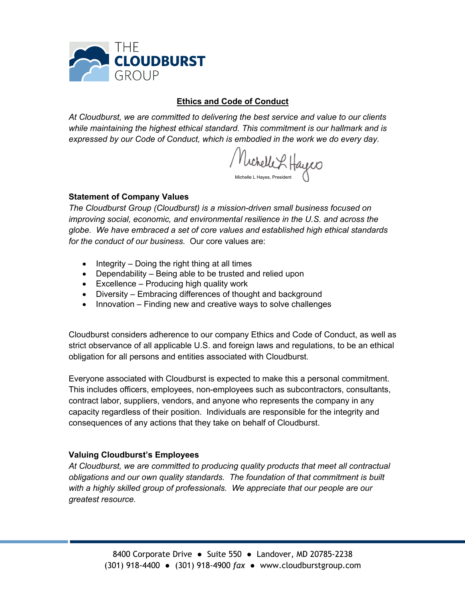

#### **Ethics and Code of Conduct**

*At Cloudburst, we are committed to delivering the best service and value to our clients while maintaining the highest ethical standard. This commitment is our hallmark and is expressed by our Code of Conduct, which is embodied in the work we do every day.*

/ Michelle L Hayes

### **Statement of Company Values**

*The Cloudburst Group (Cloudburst) is a mission-driven small business focused on improving social, economic, and environmental resilience in the U.S. and across the globe. We have embraced a set of core values and established high ethical standards for the conduct of our business.* Our core values are:

- Integrity Doing the right thing at all times
- Dependability Being able to be trusted and relied upon
- Excellence Producing high quality work
- Diversity Embracing differences of thought and background
- Innovation Finding new and creative ways to solve challenges

Cloudburst considers adherence to our company Ethics and Code of Conduct, as well as strict observance of all applicable U.S. and foreign laws and regulations, to be an ethical obligation for all persons and entities associated with Cloudburst.

Everyone associated with Cloudburst is expected to make this a personal commitment. This includes officers, employees, non-employees such as subcontractors, consultants, contract labor, suppliers, vendors, and anyone who represents the company in any capacity regardless of their position. Individuals are responsible for the integrity and consequences of any actions that they take on behalf of Cloudburst.

## **Valuing Cloudburst's Employees**

*At Cloudburst, we are committed to producing quality products that meet all contractual obligations and our own quality standards. The foundation of that commitment is built with a highly skilled group of professionals. We appreciate that our people are our greatest resource.*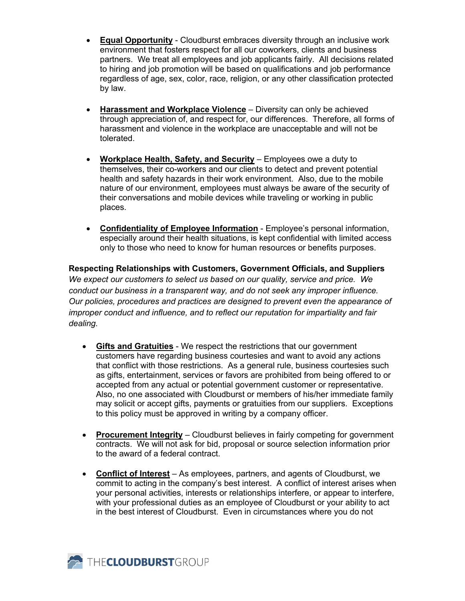- **Equal Opportunity** Cloudburst embraces diversity through an inclusive work environment that fosters respect for all our coworkers, clients and business partners. We treat all employees and job applicants fairly. All decisions related to hiring and job promotion will be based on qualifications and job performance regardless of age, sex, color, race, religion, or any other classification protected by law.
- **Harassment and Workplace Violence** Diversity can only be achieved through appreciation of, and respect for, our differences. Therefore, all forms of harassment and violence in the workplace are unacceptable and will not be tolerated.
- **Workplace Health, Safety, and Security** Employees owe a duty to themselves, their co-workers and our clients to detect and prevent potential health and safety hazards in their work environment. Also, due to the mobile nature of our environment, employees must always be aware of the security of their conversations and mobile devices while traveling or working in public places.
- **Confidentiality of Employee Information** Employee's personal information, especially around their health situations, is kept confidential with limited access only to those who need to know for human resources or benefits purposes.

**Respecting Relationships with Customers, Government Officials, and Suppliers** *We expect our customers to select us based on our quality, service and price. We conduct our business in a transparent way, and do not seek any improper influence. Our policies, procedures and practices are designed to prevent even the appearance of improper conduct and influence, and to reflect our reputation for impartiality and fair dealing.*

- **Gifts and Gratuities** We respect the restrictions that our government customers have regarding business courtesies and want to avoid any actions that conflict with those restrictions. As a general rule, business courtesies such as gifts, entertainment, services or favors are prohibited from being offered to or accepted from any actual or potential government customer or representative. Also, no one associated with Cloudburst or members of his/her immediate family may solicit or accept gifts, payments or gratuities from our suppliers. Exceptions to this policy must be approved in writing by a company officer.
- **Procurement Integrity** *–* Cloudburst believes in fairly competing for government contracts. We will not ask for bid, proposal or source selection information prior to the award of a federal contract.
- **Conflict of Interest** As employees, partners, and agents of Cloudburst, we commit to acting in the company's best interest. A conflict of interest arises when your personal activities, interests or relationships interfere, or appear to interfere, with your professional duties as an employee of Cloudburst or your ability to act in the best interest of Cloudburst. Even in circumstances where you do not

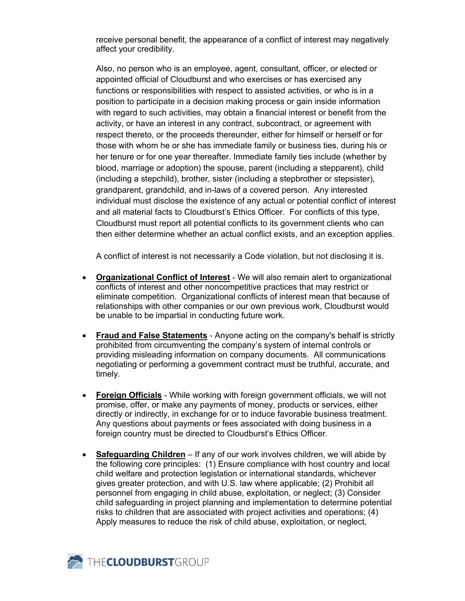receive personal benefit, the appearance of a conflict of interest may negatively affect your credibility.

Also, no person who is an employee, agent, consultant, officer, or elected or appointed official of Cloudburst and who exercises or has exercised any functions or responsibilities with respect to assisted activities, or who is in a position to participate in a decision making process or gain inside information with regard to such activities, may obtain a financial interest or benefit from the activity, or have an interest in any contract, subcontract, or agreement with respect thereto, or the proceeds thereunder, either for himself or herself or for those with whom he or she has immediate family or business ties, during his or her tenure or for one year thereafter. Immediate family ties include (whether by blood, marriage or adoption) the spouse, parent (including a stepparent), child (including a stepchild), brother, sister (including a stepbrother or stepsister), grandparent, grandchild, and in-laws of a covered person. Any interested individual must disclose the existence of any actual or potential conflict of interest and all material facts to Cloudburst's Ethics Officer. For conflicts of this type, Cloudburst must report all potential conflicts to its government clients who can then either determine whether an actual conflict exists, and an exception applies.

A conflict of interest is not necessarily a Code violation, but not disclosing it is.

- **Organizational Conflict of Interest** We will also remain alert to organizational conflicts of interest and other noncompetitive practices that may restrict or eliminate competition. Organizational conflicts of interest mean that because of relationships with other companies or our own previous work, Cloudburst would be unable to be impartial in conducting future work.
- **Fraud and False Statements** Anyone acting on the company's behalf is strictly prohibited from circumventing the company's system of internal controls or providing misleading information on company documents. All communications negotiating or performing a government contract must be truthful, accurate, and timely.
- **Foreign Officials** While working with foreign government officials, we will not promise, offer, or make any payments of money, products or services, either directly or indirectly, in exchange for or to induce favorable business treatment. Any questions about payments or fees associated with doing business in a foreign country must be directed to Cloudburst's Ethics Officer.
- **Safeguarding Children** If any of our work involves children, we will abide by the following core principles: (1) Ensure compliance with host country and local child welfare and protection legislation or international standards, whichever gives greater protection, and with U.S. law where applicable; (2) Prohibit all personnel from engaging in child abuse, exploitation, or neglect; (3) Consider child safeguarding in project planning and implementation to determine potential risks to children that are associated with project activities and operations; (4) Apply measures to reduce the risk of child abuse, exploitation, or neglect,



**3 THECLOUDBURSTGROUP**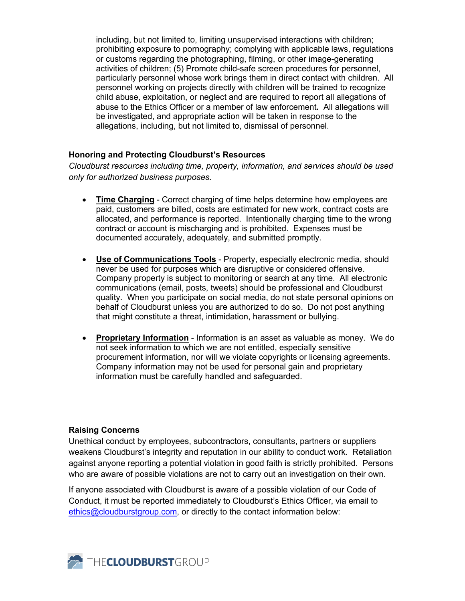including, but not limited to, limiting unsupervised interactions with children; prohibiting exposure to pornography; complying with applicable laws, regulations or customs regarding the photographing, filming, or other image-generating activities of children; (5) Promote child-safe screen procedures for personnel, particularly personnel whose work brings them in direct contact with children. All personnel working on projects directly with children will be trained to recognize child abuse, exploitation, or neglect and are required to report all allegations of abuse to the Ethics Officer or a member of law enforcement**.** All allegations will be investigated, and appropriate action will be taken in response to the allegations, including, but not limited to, dismissal of personnel.

# **Honoring and Protecting Cloudburst's Resources**

*Cloudburst resources including time, property, information, and services should be used only for authorized business purposes.*

- **Time Charging** Correct charging of time helps determine how employees are paid, customers are billed, costs are estimated for new work, contract costs are allocated, and performance is reported. Intentionally charging time to the wrong contract or account is mischarging and is prohibited. Expenses must be documented accurately, adequately, and submitted promptly.
- **Use of Communications Tools** Property, especially electronic media, should never be used for purposes which are disruptive or considered offensive. Company property is subject to monitoring or search at any time. All electronic communications (email, posts, tweets) should be professional and Cloudburst quality. When you participate on social media, do not state personal opinions on behalf of Cloudburst unless you are authorized to do so. Do not post anything that might constitute a threat, intimidation, harassment or bullying.
- **Proprietary Information** Information is an asset as valuable as money. We do not seek information to which we are not entitled, especially sensitive procurement information, nor will we violate copyrights or licensing agreements. Company information may not be used for personal gain and proprietary information must be carefully handled and safeguarded.

## **Raising Concerns**

Unethical conduct by employees, subcontractors, consultants, partners or suppliers weakens Cloudburst's integrity and reputation in our ability to conduct work. Retaliation against anyone reporting a potential violation in good faith is strictly prohibited. Persons who are aware of possible violations are not to carry out an investigation on their own.

If anyone associated with Cloudburst is aware of a possible violation of our Code of Conduct, it must be reported immediately to Cloudburst's Ethics Officer, via email to ethics@cloudburstgroup.com, or directly to the contact information below: